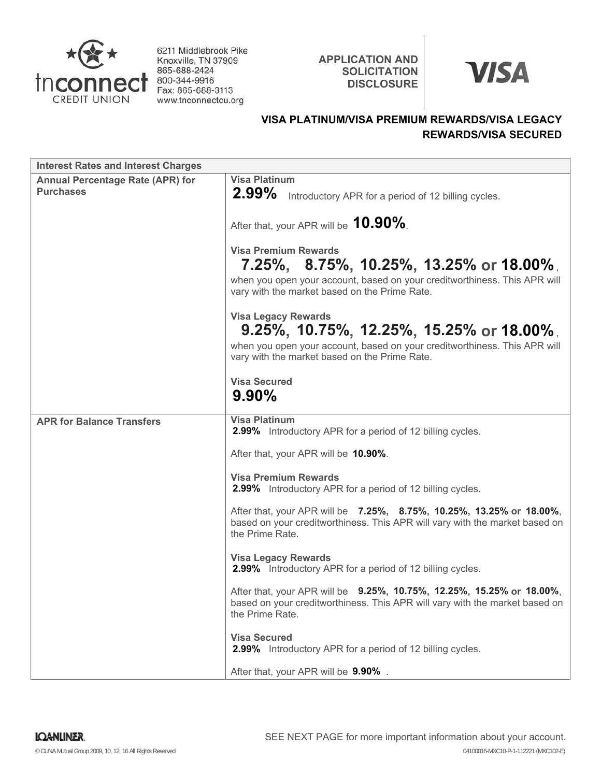

6211 Middlebrook Pike Knoxville, TN 37909 865-688-2424 800-344-9916 Fax: 865-688-3113 www.tnconnectcu.org

**APPLICATION AND SOLICITATION DISCLOSURE**



# **VISA PLATINUM/VISA PREMIUM REWARDS/VISA LEGACY REWARDS/VISA SECURED**

| <b>Interest Rates and Interest Charges</b>                  |                                                                                                                                                                                                              |
|-------------------------------------------------------------|--------------------------------------------------------------------------------------------------------------------------------------------------------------------------------------------------------------|
| <b>Annual Percentage Rate (APR) for</b><br><b>Purchases</b> | <b>Visa Platinum</b><br>$2.99\%$<br>Introductory APR for a period of 12 billing cycles.                                                                                                                      |
|                                                             | After that, your APR will be 10.90%.                                                                                                                                                                         |
|                                                             | <b>Visa Premium Rewards</b><br>$7.25\%$ , $8.75\%$ , 10.25%, 13.25% or 18.00%,<br>when you open your account, based on your creditworthiness. This APR will<br>vary with the market based on the Prime Rate. |
|                                                             | <b>Visa Legacy Rewards</b><br>$9.25\%$ , 10.75%, 12.25%, 15.25% or 18.00%,<br>when you open your account, based on your creditworthiness. This APR will<br>vary with the market based on the Prime Rate.     |
|                                                             | <b>Visa Secured</b><br>$9.90\%$                                                                                                                                                                              |
| <b>APR for Balance Transfers</b>                            | <b>Visa Platinum</b><br>2.99% Introductory APR for a period of 12 billing cycles.                                                                                                                            |
|                                                             | After that, your APR will be 10.90%.                                                                                                                                                                         |
|                                                             | <b>Visa Premium Rewards</b><br>2.99% Introductory APR for a period of 12 billing cycles.                                                                                                                     |
|                                                             | After that, your APR will be 7.25%, 8.75%, 10.25%, 13.25% or 18.00%,<br>based on your creditworthiness. This APR will vary with the market based on<br>the Prime Rate.                                       |
|                                                             | <b>Visa Legacy Rewards</b><br><b>2.99%</b> Introductory APR for a period of 12 billing cycles.                                                                                                               |
|                                                             | After that, your APR will be 9.25%, 10.75%, 12.25%, 15.25% or 18.00%,<br>based on your creditworthiness. This APR will vary with the market based on<br>the Prime Rate.                                      |
|                                                             | <b>Visa Secured</b><br>2.99% Introductory APR for a period of 12 billing cycles.                                                                                                                             |
|                                                             | After that, your APR will be 9.90%.                                                                                                                                                                          |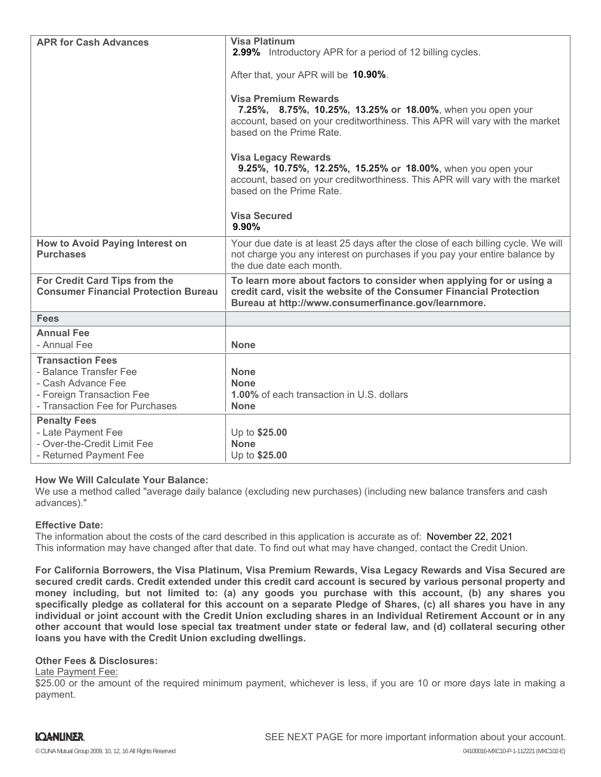| <b>APR for Cash Advances</b>                                                                                                            | <b>Visa Platinum</b><br>2.99% Introductory APR for a period of 12 billing cycles.<br>After that, your APR will be 10.90%.<br><b>Visa Premium Rewards</b><br>7.25%, 8.75%, 10.25%, 13.25% or 18.00%, when you open your<br>account, based on your creditworthiness. This APR will vary with the market<br>based on the Prime Rate.<br><b>Visa Legacy Rewards</b><br>9.25%, 10.75%, 12.25%, 15.25% or 18.00%, when you open your<br>account, based on your creditworthiness. This APR will vary with the market<br>based on the Prime Rate.<br><b>Visa Secured</b><br>9.90% |
|-----------------------------------------------------------------------------------------------------------------------------------------|---------------------------------------------------------------------------------------------------------------------------------------------------------------------------------------------------------------------------------------------------------------------------------------------------------------------------------------------------------------------------------------------------------------------------------------------------------------------------------------------------------------------------------------------------------------------------|
| How to Avoid Paying Interest on<br><b>Purchases</b>                                                                                     | Your due date is at least 25 days after the close of each billing cycle. We will<br>not charge you any interest on purchases if you pay your entire balance by<br>the due date each month.                                                                                                                                                                                                                                                                                                                                                                                |
| For Credit Card Tips from the<br><b>Consumer Financial Protection Bureau</b>                                                            | To learn more about factors to consider when applying for or using a<br>credit card, visit the website of the Consumer Financial Protection<br>Bureau at http://www.consumerfinance.gov/learnmore.                                                                                                                                                                                                                                                                                                                                                                        |
| <b>Fees</b>                                                                                                                             |                                                                                                                                                                                                                                                                                                                                                                                                                                                                                                                                                                           |
| <b>Annual Fee</b><br>- Annual Fee                                                                                                       | <b>None</b>                                                                                                                                                                                                                                                                                                                                                                                                                                                                                                                                                               |
| <b>Transaction Fees</b><br>- Balance Transfer Fee<br>- Cash Advance Fee<br>- Foreign Transaction Fee<br>- Transaction Fee for Purchases | <b>None</b><br><b>None</b><br><b>1.00%</b> of each transaction in U.S. dollars<br><b>None</b>                                                                                                                                                                                                                                                                                                                                                                                                                                                                             |
| <b>Penalty Fees</b><br>- Late Payment Fee<br>- Over-the-Credit Limit Fee<br>- Returned Payment Fee                                      | Up to \$25.00<br><b>None</b><br>Up to \$25.00                                                                                                                                                                                                                                                                                                                                                                                                                                                                                                                             |

## **How We Will Calculate Your Balance:**

We use a method called "average daily balance (excluding new purchases) (including new balance transfers and cash advances)."

#### **Effective Date:**

The information about the costs of the card described in this application is accurate as of: November 22, 2021This information may have changed after that date. To find out what may have changed, contact the Credit Union.

**For California Borrowers, the Visa Platinum, Visa Premium Rewards, Visa Legacy Rewards and Visa Secured are secured credit cards. Credit extended under this credit card account is secured by various personal property and money including, but not limited to: (a) any goods you purchase with this account, (b) any shares you specifically pledge as collateral for this account on a separate Pledge of Shares, (c) all shares you have in any individual or joint account with the Credit Union excluding shares in an Individual Retirement Account or in any other account that would lose special tax treatment under state or federal law, and (d) collateral securing other loans you have with the Credit Union excluding dwellings.**

## **Other Fees & Disclosures:**

Late Payment Fee:

\$25.00 or the amount of the required minimum payment, whichever is less, if you are 10 or more days late in making a payment.